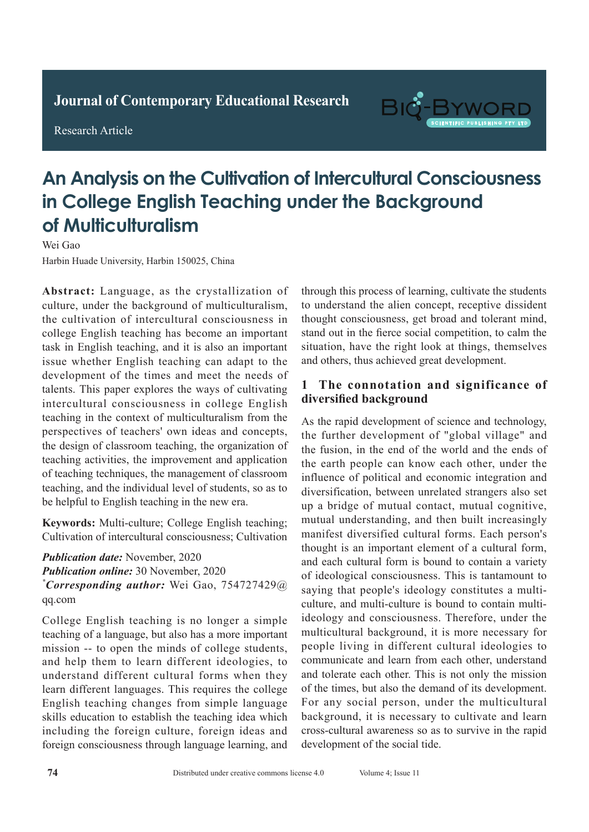**Journal of Clinical and Nursing Research Journal of Contemporary Educational Research**

**Research Article** 

Research Article



## An Analysis on the Cultivation of Intercultural Consciousness in College English Teaching under the Background of Multiculturalism The Affiliated Hospital of Chifeng College, Chifeng City 024005, Inner Mongolia, China

Wei Gao

Harbin Huade University, Harbin 150025, China

Abstract: Language, as the crystallization of resserve tuberculous control of multiculturalism, culture, under the background of multiculturalism, the cultivation of intercultural consciousness in the cantivation of intercentual conservations in task in English teaching, and it is also an important task in English teaching, and it is also an important the in English teaching, and it is also an important the development of the times and meet the needs of development of the times and meet the needs of talents. This paper explores the ways of cultivating tuberculosis. This paper express the ways of cantivating<br>intercultural consciousness in college English mercuritural conservasitiess in correge Engrish eaching in the context of multiculturalism from the perspectives of teachers' own ideas and concepts, perspectives of teachers own ideas and concepts, the design of classroom teaching, the organization of teaching activities, the improvement and application of teaching techniques, the management of classroom teaching, and the individual level of students, so as to be helpful to English teaching in the new era.  $\frac{1}{2}$  tuberculosity of  $\frac{1}{2}$  tuberculosity less less of  $\frac{1}{2}$  tuberculosity less less of  $\frac{1}{2}$ detection rate of spiral CT was 98.67%, which was not of teaching techniques, the management of classroom reaching, and the murvidual level of students, so as to

which was significantly higher than that of conventional than that of conventional than that of conventional than the conventional than the convention of conventional than the convention of convention  $\mathcal{L}$ **Keywords:** Multi-culture; College English teaching; Cultivation of intercultural consciousness; Cultivation

**Publication date:** November, 2020 **Publication online: 30 November, 2020** *\*Corresponding author:* Wei Gao, 754727429@ qq.com chest X-ray of 7.69%, and the active rate of active rate of active rate of active rate of active rate of activ  $\mu$ ubliculion quie: November, 2020 **CONCLUSION:**  $C$  compared scan can not conclude scan can not can not can not can not can not can not can not can not can not can not can not can not can not can not can not can not can not can not can not can not can not

detected by conventional chest radiography, but also College English teaching is no longer a simple teaching of a language, but also has a more important and help them to learn different ideologies, to understand different cultural forms when they learn different languages. This requires the college English teaching changes from simple language skills education to establish the teaching idea which *including the foreign culture, foreign ideas and* foreign consciousness through language learning, and mission -- to open the minds of college students, through this process of learning, cultivate the students through this process containing, can but the concentration to understand the arien concept, receptive dissident thought consciousness, get broad and tolerant mind, molght constructions, get order and torrital inner, stand out in the first social compensati, to cann are situation, have the right look at things, themselves sputum, low for the eight column analoge, measured to and others, thus achieved great development. mis other, who went to give as the prison.

## and endanger patients' lives[2-3]. In addition, patients 1 The connotation and significance of diversified background with pulmonary tuberculosis have an incubation pulmonary tuberculosis have an include periodic periodic period

As the rapid development of science and technology, the further development of "global village" and the fusion, in the end of the world and the ends of the earth people can know each other, under the influence of political and economic integration and diversification, between unrelated strangers also set up a bridge of mutual contact, mutual cognitive, are the being fast behind faster of and convenient, mutual understanding, and then built increasingly matual unacrostation region with current interesting by manifest diversified cultural forms. Each person's manned an important distance to the diseases of the diseases due to the distance of a cultural form, and each cultural form is bound to contain a variety and cash candata form is boand to contain a variety<br>of ideological consciousness. This is tantamount to or ideological conservables. This is dandmediated to saying that people's ideology constitutes a multisaying that people's ideology constitutes a matter ideology and consciousness. Therefore, under the multicultural background, it is more necessary for **1.1 Communicate and learn from each other, understand** and coerate each official material of the times, but also the demand of its development. For any social person, under the multicultural For any social person, under the multicultural<br>background, it is necessary to cultivate and learn retrospectively and the constant of the control of the month cross-cultural awareness so as to survive in the rapid  $\frac{1}{2}$ development of the social tide. people living in different cultural ideologies to and tolerate each other. This is not only the mission up a bridge of mutual contact, mutual cognitive,<br>mutual understanding, and then built increasingly<br>manifest diversified cultural forms. Each person's<br>thought is an important element of a cultural form,<br>and each cultural fo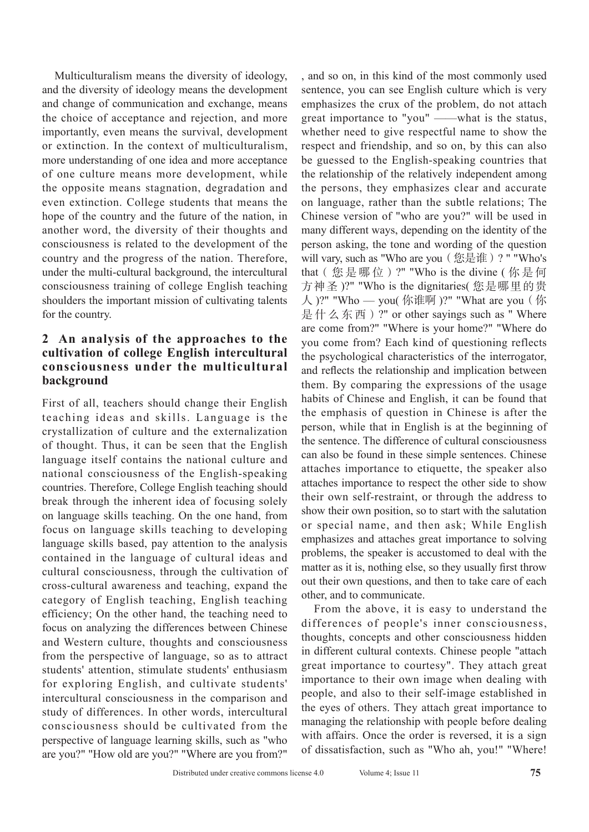Multiculturalism means the diversity of ideology, and the diversity of ideology means the development and change of communication and exchange, means the choice of acceptance and rejection, and more importantly, even means the survival, development or extinction. In the context of multiculturalism, more understanding of one idea and more acceptance of one culture means more development, while the opposite means stagnation, degradation and even extinction. College students that means the hope of the country and the future of the nation, in another word, the diversity of their thoughts and consciousness is related to the development of the country and the progress of the nation. Therefore, under the multi-cultural background, the intercultural consciousness training of college English teaching shoulders the important mission of cultivating talents for the country.

## **2 An analysis of the approaches to the cultivation of college English intercultural consciousness under the multicultural background**

First of all, teachers should change their English teaching ideas and skills. Language is the crystallization of culture and the externalization of thought. Thus, it can be seen that the English language itself contains the national culture and national consciousness of the English-speaking countries. Therefore, College English teaching should break through the inherent idea of focusing solely on language skills teaching. On the one hand, from focus on language skills teaching to developing language skills based, pay attention to the analysis contained in the language of cultural ideas and cultural consciousness, through the cultivation of cross-cultural awareness and teaching, expand the category of English teaching, English teaching efficiency; On the other hand, the teaching need to focus on analyzing the differences between Chinese and Western culture, thoughts and consciousness from the perspective of language, so as to attract students' attention, stimulate students' enthusiasm for exploring English, and cultivate students' intercultural consciousness in the comparison and study of differences. In other words, intercultural consciousness should be cultivated from the perspective of language learning skills, such as "who are you?" "How old are you?" "Where are you from?"

, and so on, in this kind of the most commonly used sentence, you can see English culture which is very emphasizes the crux of the problem, do not attach great importance to "you" ——what is the status, whether need to give respectful name to show the respect and friendship, and so on, by this can also be guessed to the English-speaking countries that the relationship of the relatively independent among the persons, they emphasizes clear and accurate on language, rather than the subtle relations; The Chinese version of "who are you?" will be used in many different ways, depending on the identity of the person asking, the tone and wording of the question will vary, such as "Who are you (您是谁)? " "Who's that(您是哪位)?" "Who is the divine ( 你是何 方神圣 )?" "Who is the dignitaries( 您是哪里的贵  $\bigwedge$ )?" "Who — you( 你谁啊)?" "What are you (你 是什么东西)?" or other sayings such as " Where are come from?" "Where is your home?" "Where do you come from? Each kind of questioning reflects the psychological characteristics of the interrogator, and reflects the relationship and implication between them. By comparing the expressions of the usage habits of Chinese and English, it can be found that the emphasis of question in Chinese is after the person, while that in English is at the beginning of the sentence. The difference of cultural consciousness can also be found in these simple sentences. Chinese attaches importance to etiquette, the speaker also attaches importance to respect the other side to show their own self-restraint, or through the address to show their own position, so to start with the salutation or special name, and then ask; While English emphasizes and attaches great importance to solving problems, the speaker is accustomed to deal with the matter as it is, nothing else, so they usually first throw out their own questions, and then to take care of each other, and to communicate.

From the above, it is easy to understand the differences of people's inner consciousness, thoughts, concepts and other consciousness hidden in different cultural contexts. Chinese people "attach great importance to courtesy". They attach great importance to their own image when dealing with people, and also to their self-image established in the eyes of others. They attach great importance to managing the relationship with people before dealing with affairs. Once the order is reversed, it is a sign of dissatisfaction, such as "Who ah, you!" "Where!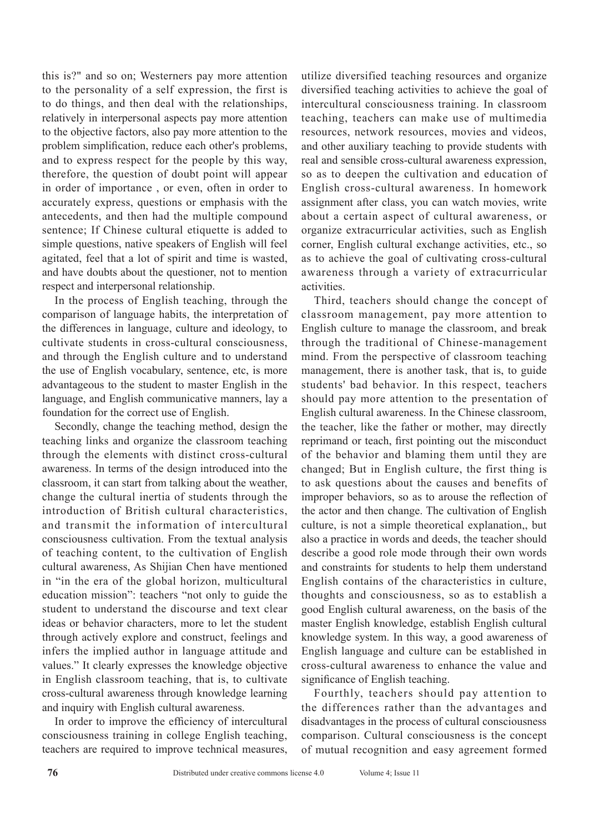this is?" and so on; Westerners pay more attention to the personality of a self expression, the first is to do things, and then deal with the relationships, relatively in interpersonal aspects pay more attention to the objective factors, also pay more attention to the problem simplification, reduce each other's problems, and to express respect for the people by this way, therefore, the question of doubt point will appear in order of importance , or even, often in order to accurately express, questions or emphasis with the antecedents, and then had the multiple compound sentence; If Chinese cultural etiquette is added to simple questions, native speakers of English will feel agitated, feel that a lot of spirit and time is wasted, and have doubts about the questioner, not to mention respect and interpersonal relationship.

In the process of English teaching, through the comparison of language habits, the interpretation of the differences in language, culture and ideology, to cultivate students in cross-cultural consciousness, and through the English culture and to understand the use of English vocabulary, sentence, etc, is more advantageous to the student to master English in the language, and English communicative manners, lay a foundation for the correct use of English.

Secondly, change the teaching method, design the teaching links and organize the classroom teaching through the elements with distinct cross-cultural awareness. In terms of the design introduced into the classroom, it can start from talking about the weather, change the cultural inertia of students through the introduction of British cultural characteristics, and transmit the information of intercultural consciousness cultivation. From the textual analysis of teaching content, to the cultivation of English cultural awareness, As Shijian Chen have mentioned in "in the era of the global horizon, multicultural education mission": teachers "not only to guide the student to understand the discourse and text clear ideas or behavior characters, more to let the student through actively explore and construct, feelings and infers the implied author in language attitude and values." It clearly expresses the knowledge objective in English classroom teaching, that is, to cultivate cross-cultural awareness through knowledge learning and inquiry with English cultural awareness.

In order to improve the efficiency of intercultural consciousness training in college English teaching, teachers are required to improve technical measures, utilize diversified teaching resources and organize diversified teaching activities to achieve the goal of intercultural consciousness training. In classroom teaching, teachers can make use of multimedia resources, network resources, movies and videos, and other auxiliary teaching to provide students with real and sensible cross-cultural awareness expression, so as to deepen the cultivation and education of English cross-cultural awareness. In homework assignment after class, you can watch movies, write about a certain aspect of cultural awareness, or organize extracurricular activities, such as English corner, English cultural exchange activities, etc., so as to achieve the goal of cultivating cross-cultural awareness through a variety of extracurricular activities.

Third, teachers should change the concept of classroom management, pay more attention to English culture to manage the classroom, and break through the traditional of Chinese-management mind. From the perspective of classroom teaching management, there is another task, that is, to guide students' bad behavior. In this respect, teachers should pay more attention to the presentation of English cultural awareness. In the Chinese classroom, the teacher, like the father or mother, may directly reprimand or teach, first pointing out the misconduct of the behavior and blaming them until they are changed; But in English culture, the first thing is to ask questions about the causes and benefits of improper behaviors, so as to arouse the reflection of the actor and then change. The cultivation of English culture, is not a simple theoretical explanation,, but also a practice in words and deeds, the teacher should describe a good role mode through their own words and constraints for students to help them understand English contains of the characteristics in culture, thoughts and consciousness, so as to establish a good English cultural awareness, on the basis of the master English knowledge, establish English cultural knowledge system. In this way, a good awareness of English language and culture can be established in cross-cultural awareness to enhance the value and significance of English teaching.

Fourthly, teachers should pay attention to the differences rather than the advantages and disadvantages in the process of cultural consciousness comparison. Cultural consciousness is the concept of mutual recognition and easy agreement formed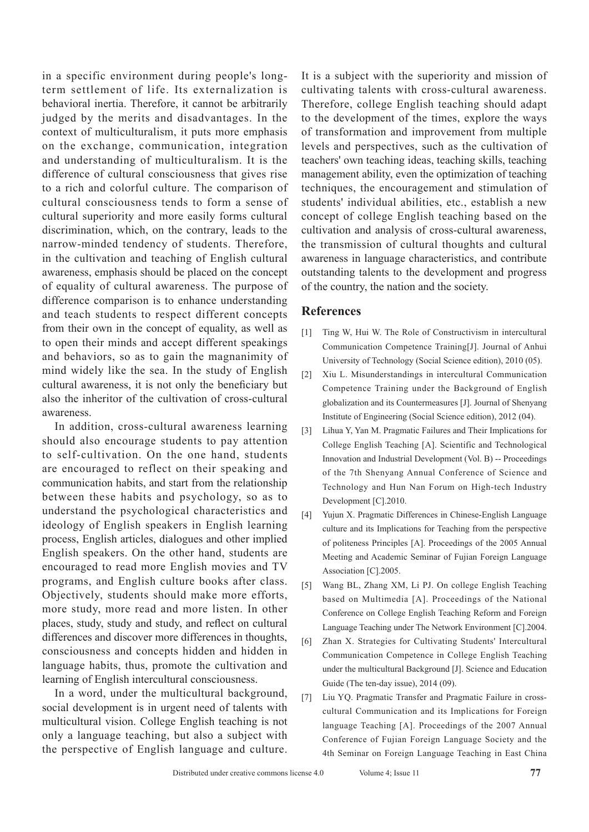in a specific environment during people's longterm settlement of life. Its externalization is behavioral inertia. Therefore, it cannot be arbitrarily judged by the merits and disadvantages. In the context of multiculturalism, it puts more emphasis on the exchange, communication, integration and understanding of multiculturalism. It is the difference of cultural consciousness that gives rise to a rich and colorful culture. The comparison of cultural consciousness tends to form a sense of cultural superiority and more easily forms cultural discrimination, which, on the contrary, leads to the narrow-minded tendency of students. Therefore, in the cultivation and teaching of English cultural awareness, emphasis should be placed on the concept of equality of cultural awareness. The purpose of difference comparison is to enhance understanding and teach students to respect different concepts from their own in the concept of equality, as well as to open their minds and accept different speakings and behaviors, so as to gain the magnanimity of mind widely like the sea. In the study of English cultural awareness, it is not only the beneficiary but also the inheritor of the cultivation of cross-cultural awareness.

In addition, cross-cultural awareness learning should also encourage students to pay attention to self-cultivation. On the one hand, students are encouraged to reflect on their speaking and communication habits, and start from the relationship between these habits and psychology, so as to understand the psychological characteristics and ideology of English speakers in English learning process, English articles, dialogues and other implied English speakers. On the other hand, students are encouraged to read more English movies and TV programs, and English culture books after class. Objectively, students should make more efforts, more study, more read and more listen. In other places, study, study and study, and reflect on cultural differences and discover more differences in thoughts, consciousness and concepts hidden and hidden in language habits, thus, promote the cultivation and learning of English intercultural consciousness.

In a word, under the multicultural background, social development is in urgent need of talents with multicultural vision. College English teaching is not only a language teaching, but also a subject with the perspective of English language and culture.

It is a subject with the superiority and mission of cultivating talents with cross-cultural awareness. Therefore, college English teaching should adapt to the development of the times, explore the ways of transformation and improvement from multiple levels and perspectives, such as the cultivation of teachers' own teaching ideas, teaching skills, teaching management ability, even the optimization of teaching techniques, the encouragement and stimulation of students' individual abilities, etc., establish a new concept of college English teaching based on the cultivation and analysis of cross-cultural awareness, the transmission of cultural thoughts and cultural awareness in language characteristics, and contribute outstanding talents to the development and progress of the country, the nation and the society.

## **References**

- [1] Ting W, Hui W. The Role of Constructivism in intercultural Communication Competence Training[J]. Journal of Anhui University of Technology (Social Science edition), 2010 (05).
- [2] Xiu L. Misunderstandings in intercultural Communication Competence Training under the Background of English globalization and its Countermeasures [J]. Journal of Shenyang Institute of Engineering (Social Science edition), 2012 (04).
- [3] Lihua Y, Yan M. Pragmatic Failures and Their Implications for College English Teaching [A]. Scientific and Technological Innovation and Industrial Development (Vol. B) -- Proceedings of the 7th Shenyang Annual Conference of Science and Technology and Hun Nan Forum on High-tech Industry Development [C].2010.
- [4] Yujun X. Pragmatic Differences in Chinese-English Language culture and its Implications for Teaching from the perspective of politeness Principles [A]. Proceedings of the 2005 Annual Meeting and Academic Seminar of Fujian Foreign Language Association [C].2005.
- [5] Wang BL, Zhang XM, Li PJ. On college English Teaching based on Multimedia [A]. Proceedings of the National Conference on College English Teaching Reform and Foreign Language Teaching under The Network Environment [C].2004.
- [6] Zhan X. Strategies for Cultivating Students' Intercultural Communication Competence in College English Teaching under the multicultural Background [J]. Science and Education Guide (The ten-day issue), 2014 (09).
- [7] Liu YQ. Pragmatic Transfer and Pragmatic Failure in crosscultural Communication and its Implications for Foreign language Teaching [A]. Proceedings of the 2007 Annual Conference of Fujian Foreign Language Society and the 4th Seminar on Foreign Language Teaching in East China